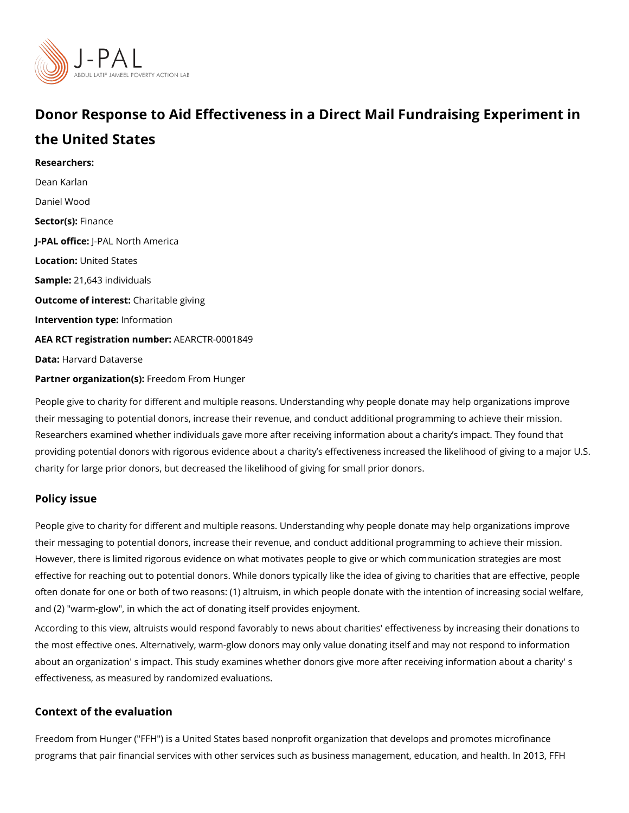# Donor Response to Aid Effectiveness in a Direct Mail Fundr the United States

Researchers: [Dean Ka](https://www.povertyactionlab.org/person/karlan)rlan Daniel Wood Sector(Fsi)nance J-PAL of Ui-cReAL North America Locationnited States Sample:1,643 individuals Outcome of inteChatitable giving Intervention tympfeo: rmation AEA RCT registration ArEuAnRbCeTR-0001849 Data[Harvard Data](https://dataverse.harvard.edu/dataset.xhtml?persistentId=doi:10.7910/DVN/RDHJQZ)verse Partner organizat Fone (s) cm From Hunger

People give to charity for different and multiple reasons. Understanding why people donat their messaging to potential donors, increase their revenue, and conduct additional progr Researchers examined whether individuals gave more after receiving information about a providing potential donors with rigorous evidence about a charity s effectiveness increase charity for large prior donors, but decreased the likelihood of giving for small prior donors.

### Policy issue

People give to charity for different and multiple reasons. Understanding why people donat their messaging to potential donors, increase their revenue, and conduct additional progr However, there is limited rigorous evidence on what motivates people to give or which com effective for reaching out to potential donors. While donors typically like the idea of giving often donate for one or both of two reasons: (1) altruism, in which people donate with the and (2) "warm-glow", in which the act of donating itself provides enjoyment.

According to this view, altruists would respond favorably to news about charities' effectiv the most effective ones. Alternatively, warm-glow donors may only value donating itself a about an organization' s impact. This study examines whether donors give more after rece effectiveness, as measured by randomized evaluations.

#### Context of the evaluation

Freedom from Hunger ("FFH") is a United States based nonprofit organization that develo programs that pair financial services with other services such as business management, e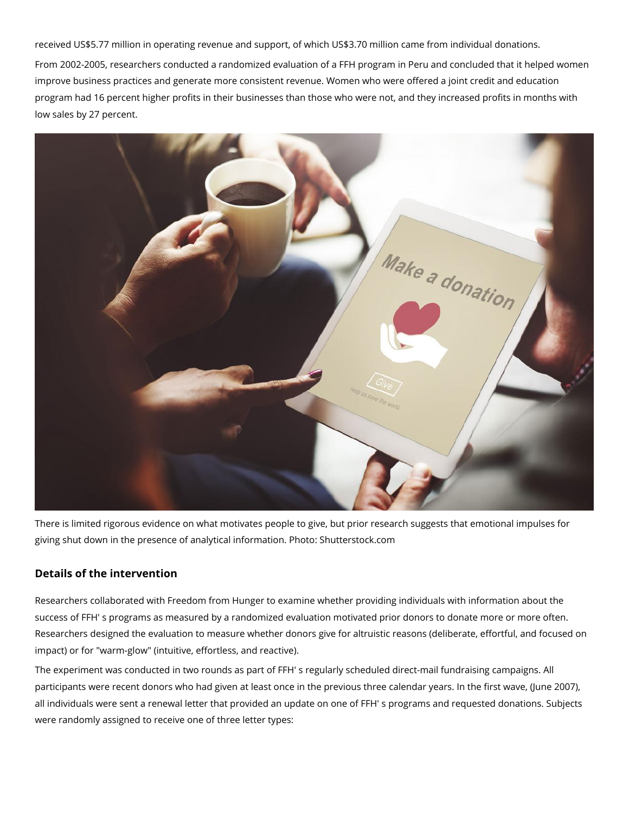received US\$5.77 million in operating revenue and support, of which US\$3.70 million came from individual donations.

From 2002-2005, researchers conducted a randomized evaluation of a FFH program in Peru and concluded that it helped women improve business practices and generate more consistent revenue. Women who were offered a joint credit and education program had 16 percent higher profits in their businesses than those who were not, and they increased profits in months with low sales by 27 percent.



There is limited rigorous evidence on what motivates people to give, but prior research suggests that emotional impulses for giving shut down in the presence of analytical information. Photo: Shutterstock.com

## **Details of the intervention**

Researchers collaborated with Freedom from Hunger to examine whether providing individuals with information about the success of FFH' s programs as measured by a randomized evaluation motivated prior donors to donate more or more often. Researchers designed the evaluation to measure whether donors give for altruistic reasons (deliberate, effortful, and focused on impact) or for "warm-glow" (intuitive, effortless, and reactive).

The experiment was conducted in two rounds as part of FFH' s regularly scheduled direct-mail fundraising campaigns. All participants were recent donors who had given at least once in the previous three calendar years. In the first wave, (June 2007), all individuals were sent a renewal letter that provided an update on one of FFH' s programs and requested donations. Subjects were randomly assigned to receive one of three letter types: